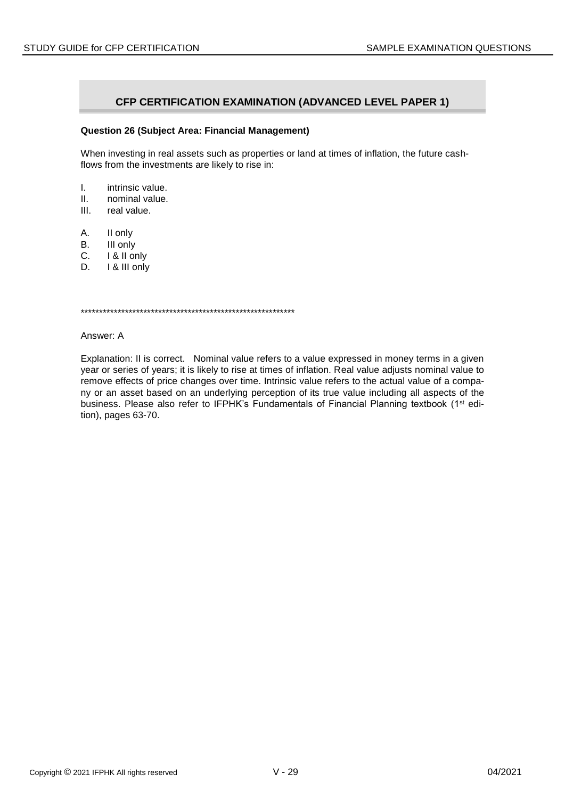# **CFP CERTIFICATION EXAMINATION (ADVANCED LEVEL PAPER 1)**

#### **Question 26 (Subject Area: Financial Management)**

When investing in real assets such as properties or land at times of inflation, the future cashflows from the investments are likely to rise in:

- I. intrinsic value.
- II. nominal value.
- III. real value.
- A. II only
- B. III only
- C. I & II only
- D. **I** & III only

\*\*\*\*\*\*\*\*\*\*\*\*\*\*\*\*\*\*\*\*\*\*\*\*\*\*\*\*\*\*\*\*\*\*\*\*\*\*\*\*\*\*\*\*\*\*\*\*\*\*\*\*\*\*\*\*\*\*

Answer: A

Explanation: II is correct. Nominal value refers to a value expressed in money terms in a given year or series of years; it is likely to rise at times of inflation. Real value adjusts nominal value to remove effects of price changes over time. Intrinsic value refers to the actual value of a company or an asset based on an underlying perception of its true value including all aspects of the business. Please also refer to IFPHK's Fundamentals of Financial Planning textbook (1<sup>st</sup> edition), pages 63-70.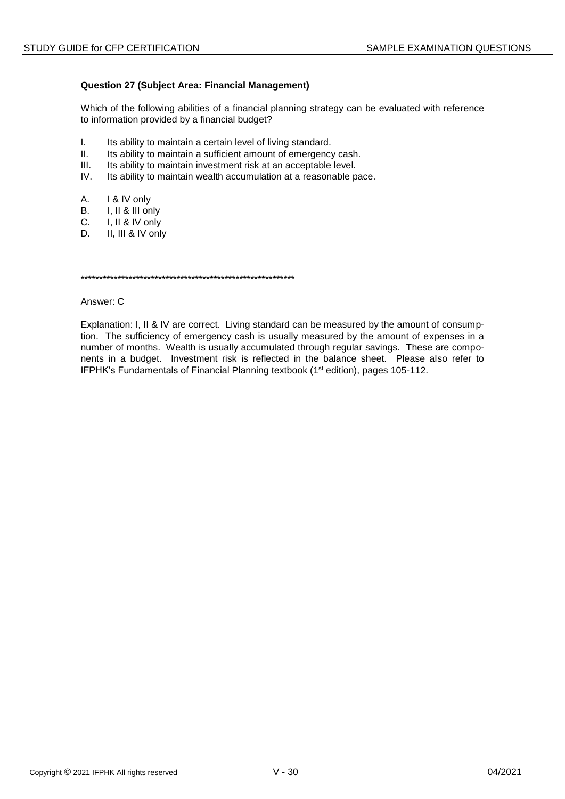### **Question 27 (Subject Area: Financial Management)**

Which of the following abilities of a financial planning strategy can be evaluated with reference to information provided by a financial budget?

- $\mathbf{L}$ Its ability to maintain a certain level of living standard.
- $II.$ Its ability to maintain a sufficient amount of emergency cash.
- $III.$ Its ability to maintain investment risk at an acceptable level.
- IV. Its ability to maintain wealth accumulation at a reasonable pace.
- А. I & IV only
- I, II & III only **B.**
- $C_{1}$ I, II & IV only
- D. II, III & IV only

Answer: C

Explanation: I, II & IV are correct. Living standard can be measured by the amount of consumption. The sufficiency of emergency cash is usually measured by the amount of expenses in a number of months. Wealth is usually accumulated through regular savings. These are components in a budget. Investment risk is reflected in the balance sheet. Please also refer to IFPHK's Fundamentals of Financial Planning textbook (1<sup>st</sup> edition), pages 105-112.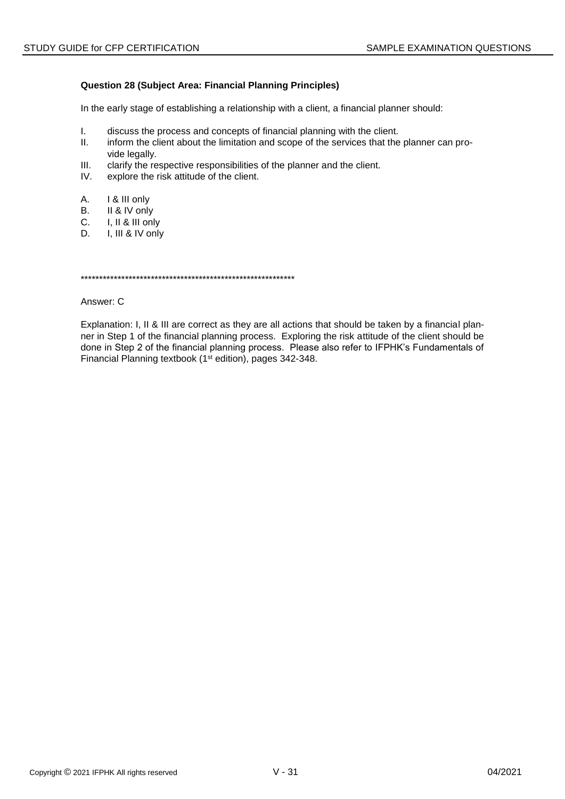## **Question 28 (Subject Area: Financial Planning Principles)**

In the early stage of establishing a relationship with a client, a financial planner should:

- $\mathbf{L}$ discuss the process and concepts of financial planning with the client.
- $II.$ inform the client about the limitation and scope of the services that the planner can provide legally.
- $III.$ clarify the respective responsibilities of the planner and the client.
- explore the risk attitude of the client. IV.
- А. I & III only
- **B.** II & IV only
- $C_{1}$ I, II & III only
- D. I, III & IV only

#### Answer: C

Explanation: I, II & III are correct as they are all actions that should be taken by a financial planner in Step 1 of the financial planning process. Exploring the risk attitude of the client should be done in Step 2 of the financial planning process. Please also refer to IFPHK's Fundamentals of Financial Planning textbook (1<sup>st</sup> edition), pages 342-348.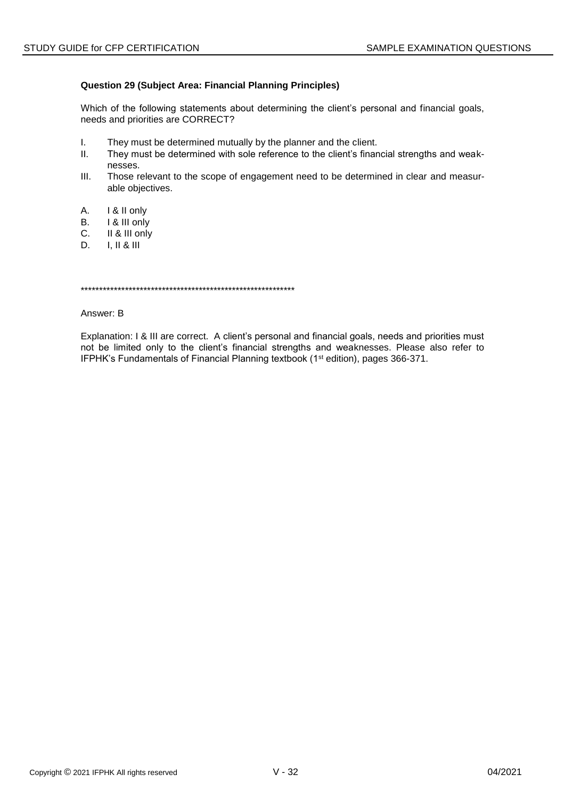## **Question 29 (Subject Area: Financial Planning Principles)**

Which of the following statements about determining the client's personal and financial goals, needs and priorities are CORRECT?

- $\mathbf{L}$ They must be determined mutually by the planner and the client.
- $II.$ They must be determined with sole reference to the client's financial strengths and weaknesses.
- $III.$ Those relevant to the scope of engagement need to be determined in clear and measurable objectives.
- A. I & II only
- **B.** I & III only
- II & III only C.
- D.  $I, II & II$

Answer: B

Explanation: I & III are correct. A client's personal and financial goals, needs and priorities must not be limited only to the client's financial strengths and weaknesses. Please also refer to IFPHK's Fundamentals of Financial Planning textbook (1<sup>st</sup> edition), pages 366-371.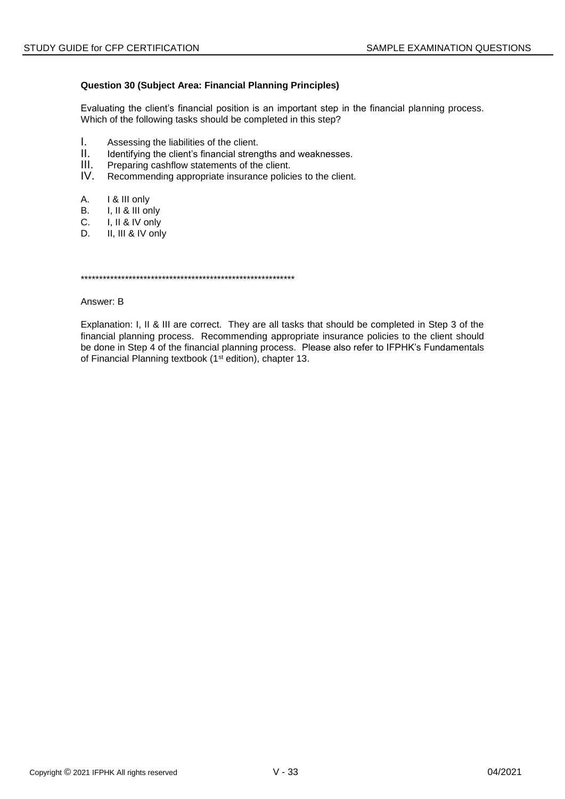### **Question 30 (Subject Area: Financial Planning Principles)**

Evaluating the client's financial position is an important step in the financial planning process. Which of the following tasks should be completed in this step?

- $\mathbf{L}$ Assessing the liabilities of the client.
- $II.$ Identifying the client's financial strengths and weaknesses.
- $III.$ Preparing cashflow statements of the client.
- $IV_{-}$ Recommending appropriate insurance policies to the client.
- A. I & III only
- **B.** I, II & III only
- $C_{1}$ I, II & IV only
- D. II, III & IV only

#### Answer: B

Explanation: I, II & III are correct. They are all tasks that should be completed in Step 3 of the financial planning process. Recommending appropriate insurance policies to the client should be done in Step 4 of the financial planning process. Please also refer to IFPHK's Fundamentals of Financial Planning textbook (1<sup>st</sup> edition), chapter 13.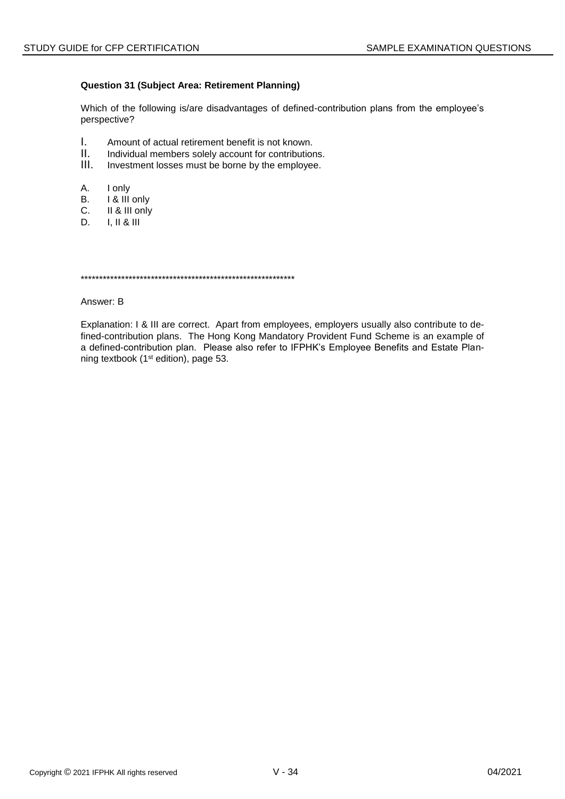## **Question 31 (Subject Area: Retirement Planning)**

Which of the following is/are disadvantages of defined-contribution plans from the employee's perspective?

- L. Amount of actual retirement benefit is not known.
- $II.$ Individual members solely account for contributions.
- $III.$ Investment losses must be borne by the employee.
- А. I only
- I & III only В.
- $C.$ II & III only
- D.  $I, II & II$

#### Answer: B

Explanation: I & III are correct. Apart from employees, employers usually also contribute to defined-contribution plans. The Hong Kong Mandatory Provident Fund Scheme is an example of a defined-contribution plan. Please also refer to IFPHK's Employee Benefits and Estate Planning textbook (1<sup>st</sup> edition), page 53.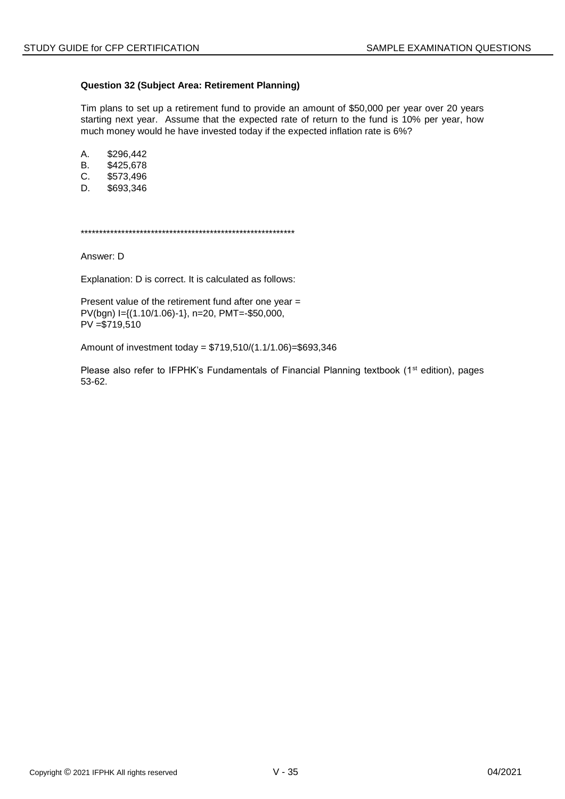### **Question 32 (Subject Area: Retirement Planning)**

Tim plans to set up a retirement fund to provide an amount of \$50,000 per year over 20 years starting next year. Assume that the expected rate of return to the fund is 10% per year, how much money would he have invested today if the expected inflation rate is 6%?

A. \$296,442 B. \$425,678

C. \$573,496

D. \$693,346

\*\*\*\*\*\*\*\*\*\*\*\*\*\*\*\*\*\*\*\*\*\*\*\*\*\*\*\*\*\*\*\*\*\*\*\*\*\*\*\*\*\*\*\*\*\*\*\*\*\*\*\*\*\*\*\*\*\*

Answer: D

Explanation: D is correct. It is calculated as follows:

Present value of the retirement fund after one year = PV(bgn) I={(1.10/1.06)-1}, n=20, PMT=-\$50,000, PV =\$719,510

Amount of investment today = \$719,510/(1.1/1.06)=\$693,346

Please also refer to IFPHK's Fundamentals of Financial Planning textbook (1<sup>st</sup> edition), pages 53-62.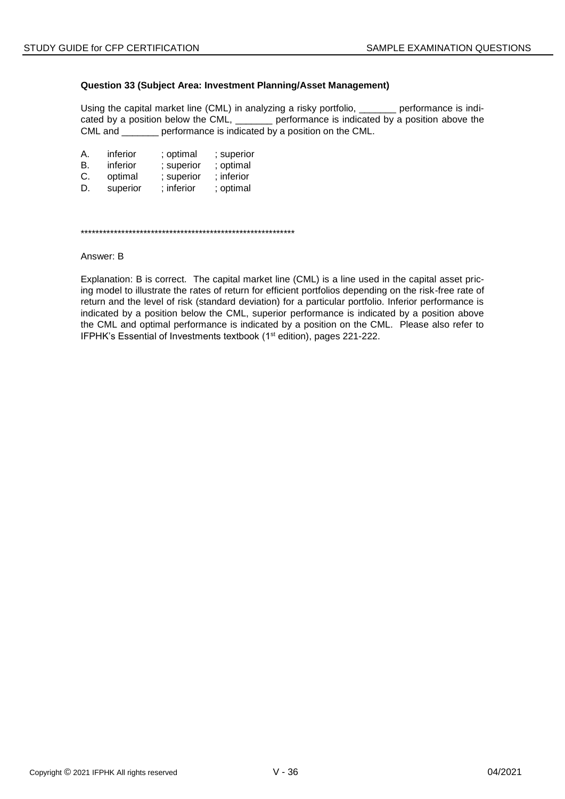### **Question 33 (Subject Area: Investment Planning/Asset Management)**

Using the capital market line (CML) in analyzing a risky portfolio, \_\_\_\_\_\_\_ performance is indicated by a position below the CML, \_\_\_\_\_\_\_ performance is indicated by a position above the CML and \_\_\_\_\_\_\_ performance is indicated by a position on the CML.

| А. | inferior | ; optimal  | ; superior |
|----|----------|------------|------------|
| В. | inferior | ; superior | ; optimal  |
| C. | optimal  | ; superior | ; inferior |
| D. | superior | ; inferior | ; optimal  |

\*\*\*\*\*\*\*\*\*\*\*\*\*\*\*\*\*\*\*\*\*\*\*\*\*\*\*\*\*\*\*\*\*\*\*\*\*\*\*\*\*\*\*\*\*\*\*\*\*\*\*\*\*\*\*\*\*\*

Answer: B

Explanation: B is correct. The capital market line (CML) is a line used in the capital asset pricing model to illustrate the rates of return for efficient portfolios depending on the risk-free rate of return and the level of risk (standard deviation) for a particular portfolio. Inferior performance is indicated by a position below the CML, superior performance is indicated by a position above the CML and optimal performance is indicated by a position on the CML. Please also refer to IFPHK's Essential of Investments textbook (1<sup>st</sup> edition), pages 221-222.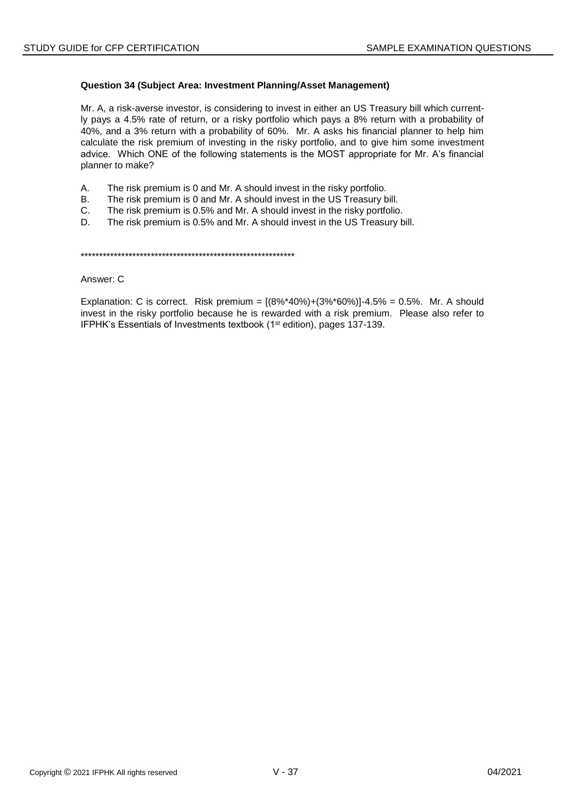### Question 34 (Subject Area: Investment Planning/Asset Management)

Mr. A, a risk-averse investor, is considering to invest in either an US Treasury bill which currently pays a 4.5% rate of return, or a risky portfolio which pays a 8% return with a probability of 40%, and a 3% return with a probability of 60%. Mr. A asks his financial planner to help him calculate the risk premium of investing in the risky portfolio, and to give him some investment advice. Which ONE of the following statements is the MOST appropriate for Mr. A's financial planner to make?

- А. The risk premium is 0 and Mr. A should invest in the risky portfolio.
- **B.** The risk premium is 0 and Mr. A should invest in the US Treasury bill.
- $C_{1}$ The risk premium is 0.5% and Mr. A should invest in the risky portfolio.
- D. The risk premium is 0.5% and Mr. A should invest in the US Treasury bill.

Answer: C

Explanation: C is correct. Risk premium =  $[(8\% * 40\%) + (3\% * 60\%)] - 4.5\% = 0.5\%$ . Mr. A should invest in the risky portfolio because he is rewarded with a risk premium. Please also refer to IFPHK's Essentials of Investments textbook (1<sup>st</sup> edition), pages 137-139.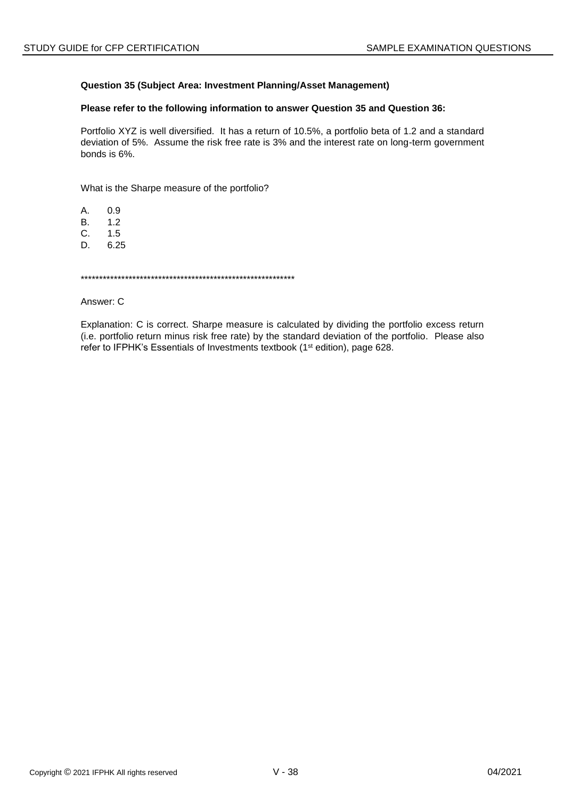## Question 35 (Subject Area: Investment Planning/Asset Management)

### Please refer to the following information to answer Question 35 and Question 36:

Portfolio XYZ is well diversified. It has a return of 10.5%, a portfolio beta of 1.2 and a standard deviation of 5%. Assume the risk free rate is 3% and the interest rate on long-term government bonds is 6%.

What is the Sharpe measure of the portfolio?

A.  $0.9$ 

**B.**  $1.2$ 

C.  $1.5$ 

D. 6.25

Answer: C

Explanation: C is correct. Sharpe measure is calculated by dividing the portfolio excess return (i.e. portfolio return minus risk free rate) by the standard deviation of the portfolio. Please also refer to IFPHK's Essentials of Investments textbook (1<sup>st</sup> edition), page 628.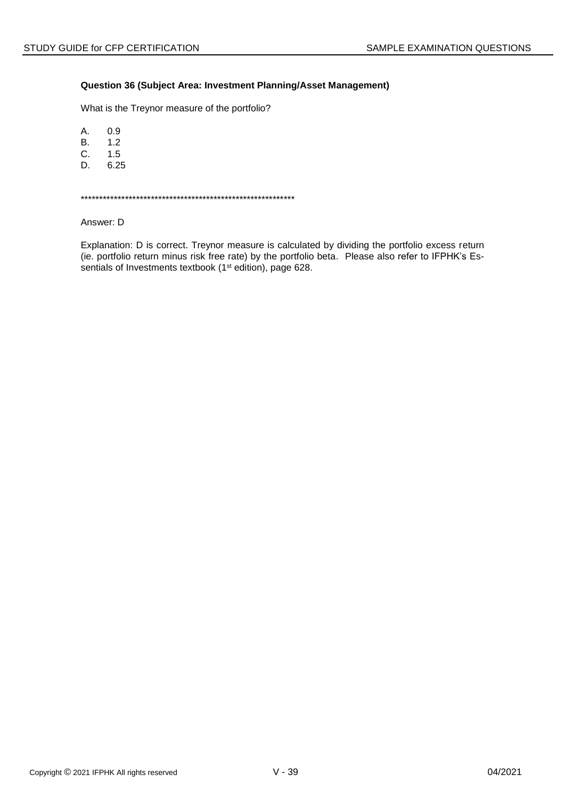### Question 36 (Subject Area: Investment Planning/Asset Management)

What is the Treynor measure of the portfolio?

A.  $0.9$ 

 $B<sub>r</sub>$  $1.2$ 

 $1.5$ C.

D. 6.25

Answer: D

Explanation: D is correct. Treynor measure is calculated by dividing the portfolio excess return (ie. portfolio return minus risk free rate) by the portfolio beta. Please also refer to IFPHK's Essentials of Investments textbook (1<sup>st</sup> edition), page 628.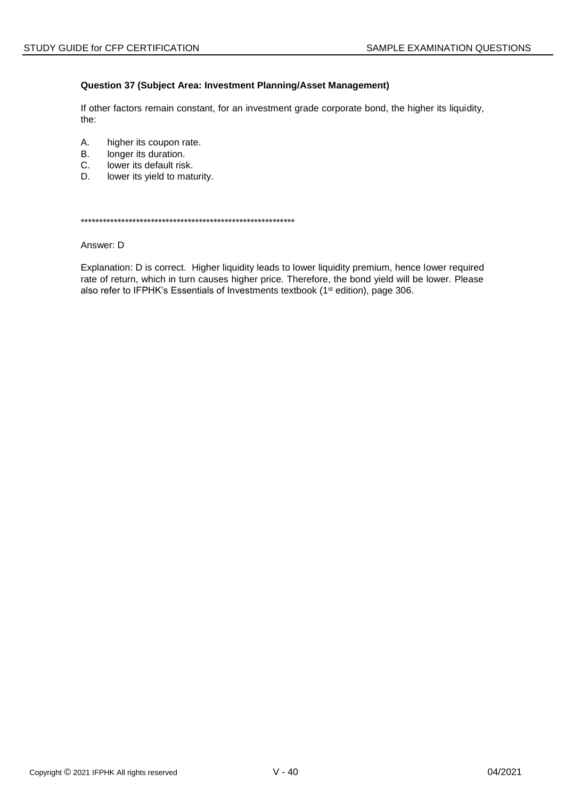### Question 37 (Subject Area: Investment Planning/Asset Management)

If other factors remain constant, for an investment grade corporate bond, the higher its liquidity, the:

- Α. higher its coupon rate.
- **B.** longer its duration.
- C. lower its default risk.
- D. lower its yield to maturity.

#### Answer: D

Explanation: D is correct. Higher liquidity leads to lower liquidity premium, hence lower required rate of return, which in turn causes higher price. Therefore, the bond yield will be lower. Please also refer to IFPHK's Essentials of Investments textbook (1<sup>st</sup> edition), page 306.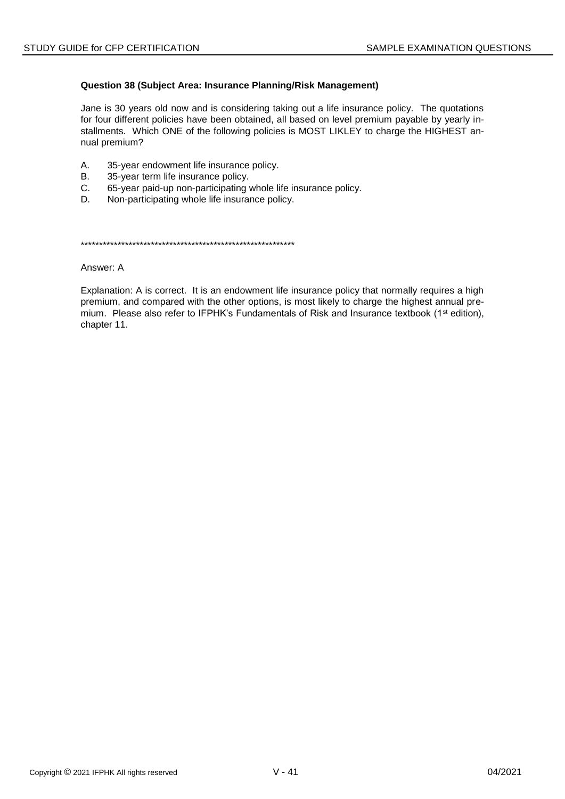### **Question 38 (Subject Area: Insurance Planning/Risk Management)**

Jane is 30 years old now and is considering taking out a life insurance policy. The quotations for four different policies have been obtained, all based on level premium payable by yearly installments. Which ONE of the following policies is MOST LIKLEY to charge the HIGHEST annual premium?

- A. 35-year endowment life insurance policy.
- B. 35-year term life insurance policy.
- C. 65-year paid-up non-participating whole life insurance policy.
- D. Non-participating whole life insurance policy.

\*\*\*\*\*\*\*\*\*\*\*\*\*\*\*\*\*\*\*\*\*\*\*\*\*\*\*\*\*\*\*\*\*\*\*\*\*\*\*\*\*\*\*\*\*\*\*\*\*\*\*\*\*\*\*\*\*\*

Answer: A

Explanation: A is correct. It is an endowment life insurance policy that normally requires a high premium, and compared with the other options, is most likely to charge the highest annual premium. Please also refer to IFPHK's Fundamentals of Risk and Insurance textbook ( $1<sup>st</sup>$  edition), chapter 11.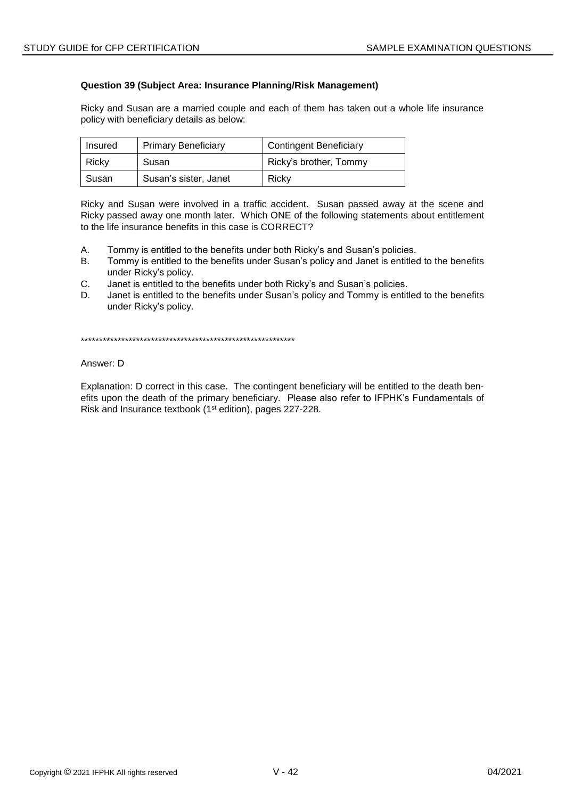### **Question 39 (Subject Area: Insurance Planning/Risk Management)**

Ricky and Susan are a married couple and each of them has taken out a whole life insurance policy with beneficiary details as below:

| Insured | <b>Primary Beneficiary</b> | <b>Contingent Beneficiary</b> |
|---------|----------------------------|-------------------------------|
| Ricky   | Susan                      | Ricky's brother, Tommy        |
| Susan   | Susan's sister, Janet      | Ricky                         |

Ricky and Susan were involved in a traffic accident. Susan passed away at the scene and Ricky passed away one month later. Which ONE of the following statements about entitlement to the life insurance benefits in this case is CORRECT?

- A. Tommy is entitled to the benefits under both Ricky's and Susan's policies.
- B. Tommy is entitled to the benefits under Susan's policy and Janet is entitled to the benefits under Ricky's policy.
- C. Janet is entitled to the benefits under both Ricky's and Susan's policies.
- D. Janet is entitled to the benefits under Susan's policy and Tommy is entitled to the benefits under Ricky's policy.

\*\*\*\*\*\*\*\*\*\*\*\*\*\*\*\*\*\*\*\*\*\*\*\*\*\*\*\*\*\*\*\*\*\*\*\*\*\*\*\*\*\*\*\*\*\*\*\*\*\*\*\*\*\*\*\*\*\*

#### Answer: D

Explanation: D correct in this case. The contingent beneficiary will be entitled to the death benefits upon the death of the primary beneficiary. Please also refer to IFPHK's Fundamentals of Risk and Insurance textbook (1<sup>st</sup> edition), pages 227-228.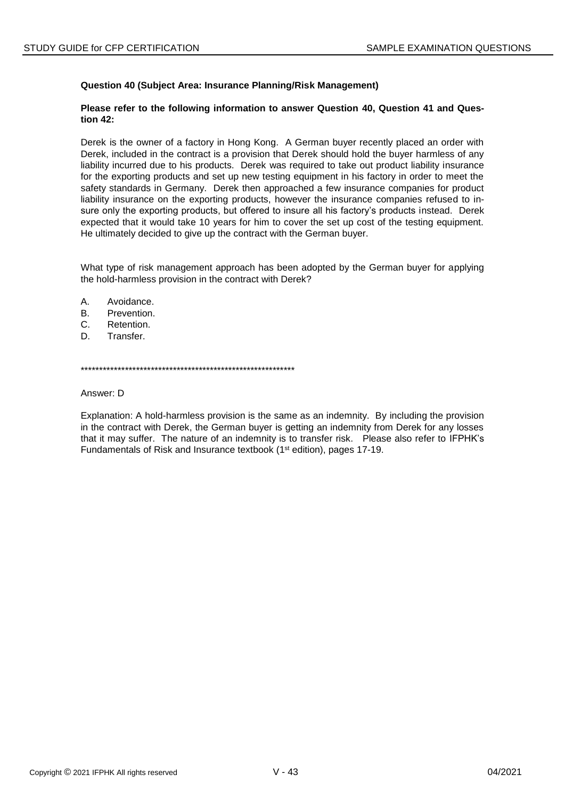## **Question 40 (Subject Area: Insurance Planning/Risk Management)**

### **Please refer to the following information to answer Question 40, Question 41 and Question 42:**

Derek is the owner of a factory in Hong Kong. A German buyer recently placed an order with Derek, included in the contract is a provision that Derek should hold the buyer harmless of any liability incurred due to his products. Derek was required to take out product liability insurance for the exporting products and set up new testing equipment in his factory in order to meet the safety standards in Germany. Derek then approached a few insurance companies for product liability insurance on the exporting products, however the insurance companies refused to insure only the exporting products, but offered to insure all his factory's products instead. Derek expected that it would take 10 years for him to cover the set up cost of the testing equipment. He ultimately decided to give up the contract with the German buyer.

What type of risk management approach has been adopted by the German buyer for applying the hold-harmless provision in the contract with Derek?

- A. Avoidance.
- B. Prevention.
- C. Retention.
- D. Transfer.

\*\*\*\*\*\*\*\*\*\*\*\*\*\*\*\*\*\*\*\*\*\*\*\*\*\*\*\*\*\*\*\*\*\*\*\*\*\*\*\*\*\*\*\*\*\*\*\*\*\*\*\*\*\*\*\*\*\*

Answer: D

Explanation: A hold-harmless provision is the same as an indemnity. By including the provision in the contract with Derek, the German buyer is getting an indemnity from Derek for any losses that it may suffer. The nature of an indemnity is to transfer risk. Please also refer to IFPHK's Fundamentals of Risk and Insurance textbook (1st edition), pages 17-19.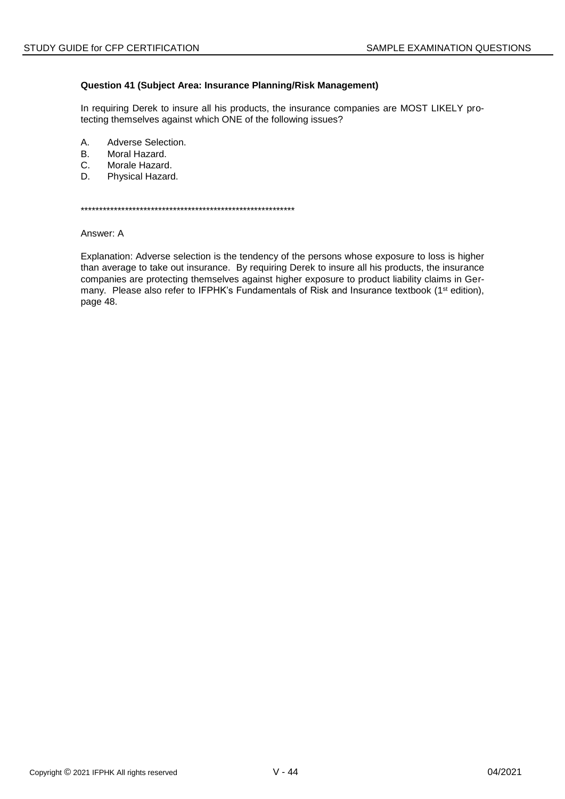### Question 41 (Subject Area: Insurance Planning/Risk Management)

In requiring Derek to insure all his products, the insurance companies are MOST LIKELY protecting themselves against which ONE of the following issues?

- A. Adverse Selection.
- Moral Hazard. **B.**
- Morale Hazard.  $C_{1}$
- Physical Hazard. D.

Answer: A

Explanation: Adverse selection is the tendency of the persons whose exposure to loss is higher than average to take out insurance. By requiring Derek to insure all his products, the insurance companies are protecting themselves against higher exposure to product liability claims in Germany. Please also refer to IFPHK's Fundamentals of Risk and Insurance textbook (1<sup>st</sup> edition), page 48.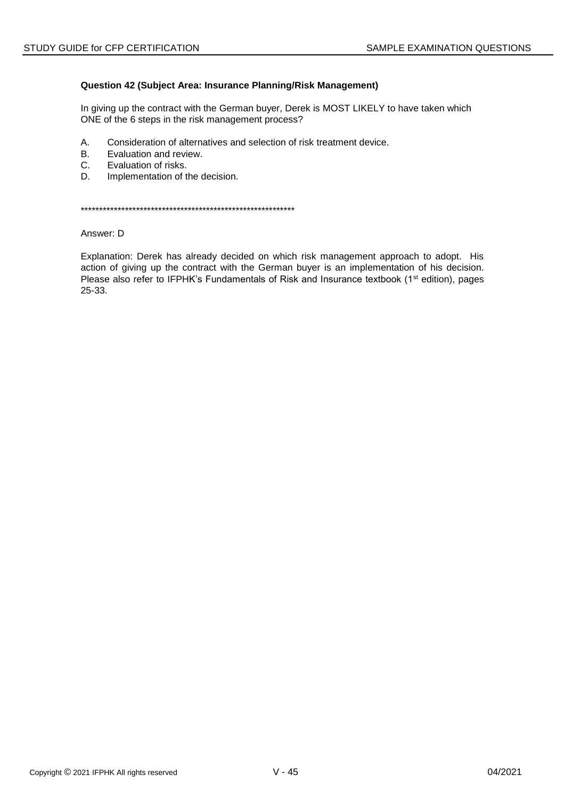### Question 42 (Subject Area: Insurance Planning/Risk Management)

In giving up the contract with the German buyer, Derek is MOST LIKELY to have taken which ONE of the 6 steps in the risk management process?

- Α. Consideration of alternatives and selection of risk treatment device.
- **B.** Evaluation and review.
- $C_{1}$ Evaluation of risks.
- D. Implementation of the decision.

Answer: D

Explanation: Derek has already decided on which risk management approach to adopt. His action of giving up the contract with the German buyer is an implementation of his decision. Please also refer to IFPHK's Fundamentals of Risk and Insurance textbook (1<sup>st</sup> edition), pages 25-33.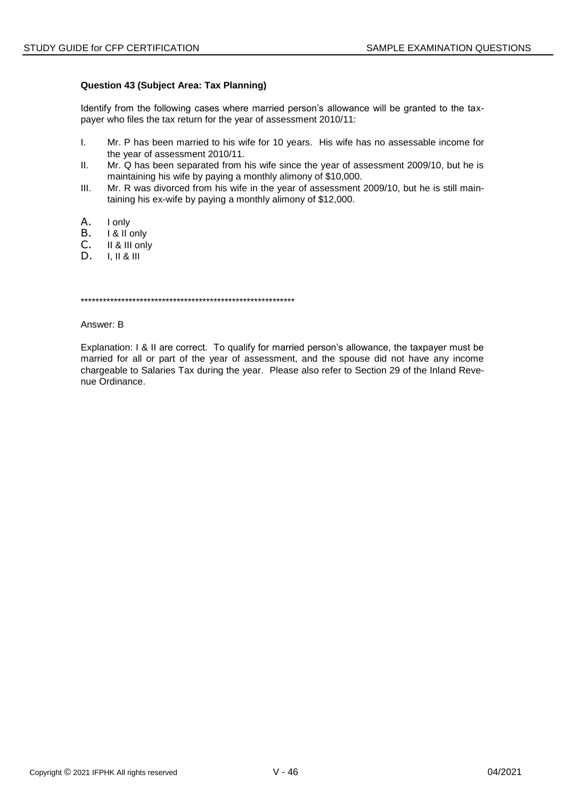## **Question 43 (Subject Area: Tax Planning)**

Identify from the following cases where married person's allowance will be granted to the taxpayer who files the tax return for the year of assessment 2010/11:

- I. Mr. P has been married to his wife for 10 years. His wife has no assessable income for the year of assessment 2010/11.
- II. Mr. Q has been separated from his wife since the year of assessment 2009/10, but he is maintaining his wife by paying a monthly alimony of \$10,000.
- III. Mr. R was divorced from his wife in the year of assessment 2009/10, but he is still maintaining his ex-wife by paying a monthly alimony of \$12,000.
- A. Ionly<br>B. I&IIo
- B. I & II only<br>C. II & III onl
- C. II & III only<br>D. I. II & III
- D. I, II & III

\*\*\*\*\*\*\*\*\*\*\*\*\*\*\*\*\*\*\*\*\*\*\*\*\*\*\*\*\*\*\*\*\*\*\*\*\*\*\*\*\*\*\*\*\*\*\*\*\*\*\*\*\*\*\*\*\*\*

Answer: B

Explanation: I & II are correct. To qualify for married person's allowance, the taxpayer must be married for all or part of the year of assessment, and the spouse did not have any income chargeable to Salaries Tax during the year. Please also refer to Section 29 of the Inland Revenue Ordinance.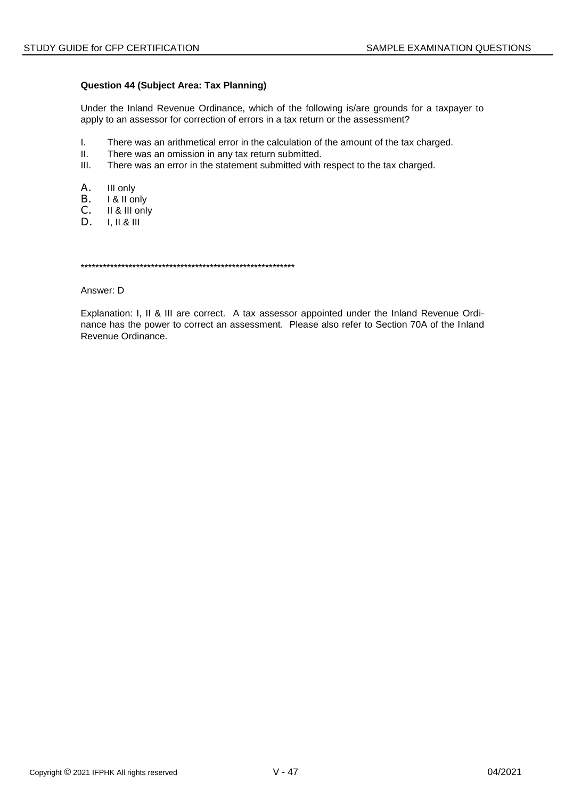### Question 44 (Subject Area: Tax Planning)

Under the Inland Revenue Ordinance, which of the following is/are grounds for a taxpayer to apply to an assessor for correction of errors in a tax return or the assessment?

- $\mathbf{L}$ There was an arithmetical error in the calculation of the amount of the tax charged.
- $II.$ There was an omission in any tax return submitted.
- $III.$ There was an error in the statement submitted with respect to the tax charged.
- Α. III only
- B. I & II only
- C. II & III only
- D.  $I, II & II$

Answer: D

Explanation: I, II & III are correct. A tax assessor appointed under the Inland Revenue Ordinance has the power to correct an assessment. Please also refer to Section 70A of the Inland Revenue Ordinance.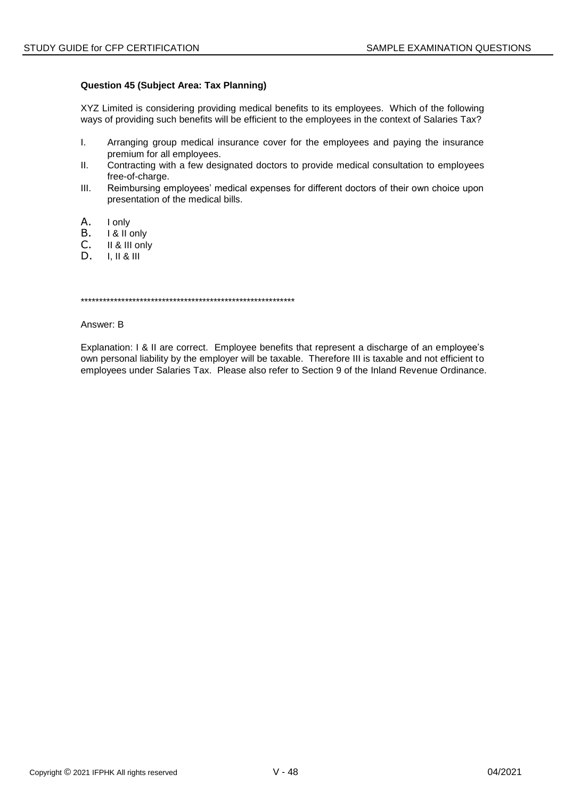### **Question 45 (Subject Area: Tax Planning)**

XYZ Limited is considering providing medical benefits to its employees. Which of the following ways of providing such benefits will be efficient to the employees in the context of Salaries Tax?

- I. Arranging group medical insurance cover for the employees and paying the insurance premium for all employees.
- II. Contracting with a few designated doctors to provide medical consultation to employees free-of-charge.
- III. Reimbursing employees' medical expenses for different doctors of their own choice upon presentation of the medical bills.
- 
- A. Ionly<br>B. I&IIo
- B. I & II only<br>C. II & III onl C. II & III only<br>D. I. II & III
- D. I, II & III

\*\*\*\*\*\*\*\*\*\*\*\*\*\*\*\*\*\*\*\*\*\*\*\*\*\*\*\*\*\*\*\*\*\*\*\*\*\*\*\*\*\*\*\*\*\*\*\*\*\*\*\*\*\*\*\*\*\*

Answer: B

Explanation: I & II are correct. Employee benefits that represent a discharge of an employee's own personal liability by the employer will be taxable. Therefore III is taxable and not efficient to employees under Salaries Tax. Please also refer to Section 9 of the Inland Revenue Ordinance.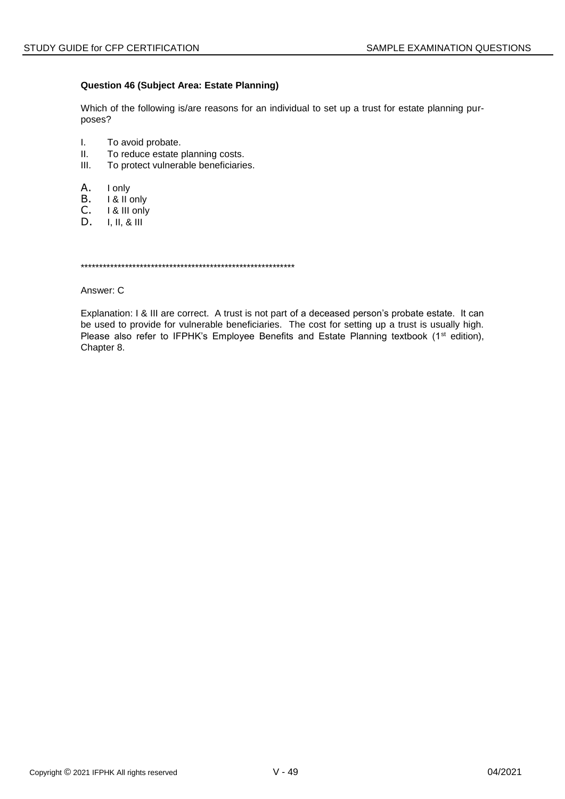### **Question 46 (Subject Area: Estate Planning)**

Which of the following is/are reasons for an individual to set up a trust for estate planning purposes?

- I. To avoid probate.
- II. To reduce estate planning costs.
- III. To protect vulnerable beneficiaries.
- A. I only
- B. I & II only
- C. I & III only<br>D. I. II. & III
- D. I, II, & III

\*\*\*\*\*\*\*\*\*\*\*\*\*\*\*\*\*\*\*\*\*\*\*\*\*\*\*\*\*\*\*\*\*\*\*\*\*\*\*\*\*\*\*\*\*\*\*\*\*\*\*\*\*\*\*\*\*\*

Answer: C

Explanation: I & III are correct. A trust is not part of a deceased person's probate estate. It can be used to provide for vulnerable beneficiaries. The cost for setting up a trust is usually high. Please also refer to IFPHK's Employee Benefits and Estate Planning textbook (1<sup>st</sup> edition), Chapter 8.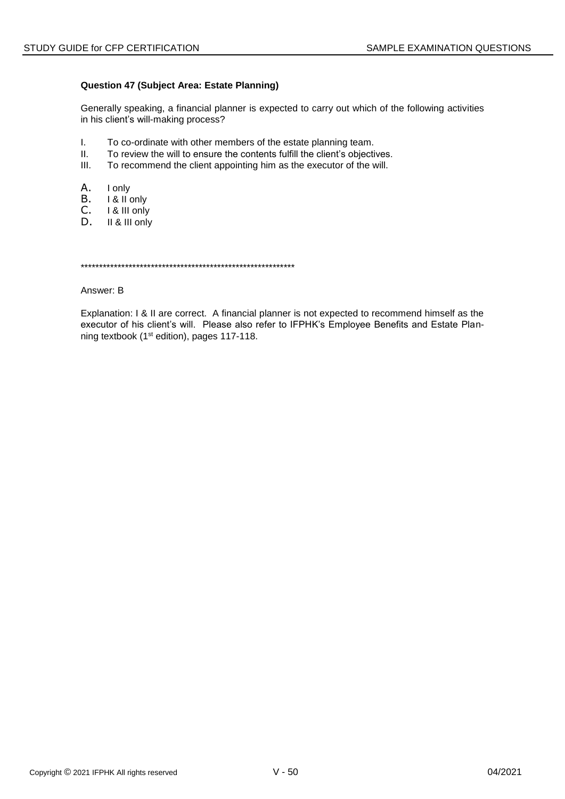### Question 47 (Subject Area: Estate Planning)

Generally speaking, a financial planner is expected to carry out which of the following activities in his client's will-making process?

- $\mathbf{L}$ To co-ordinate with other members of the estate planning team.
- $II.$ To review the will to ensure the contents fulfill the client's objectives.
- $III.$ To recommend the client appointing him as the executor of the will.
- Α. I only
- В. I & II only
- C. I & III only
- D. II & III only

Answer: B

Explanation: I & II are correct. A financial planner is not expected to recommend himself as the executor of his client's will. Please also refer to IFPHK's Employee Benefits and Estate Planning textbook (1<sup>st</sup> edition), pages 117-118.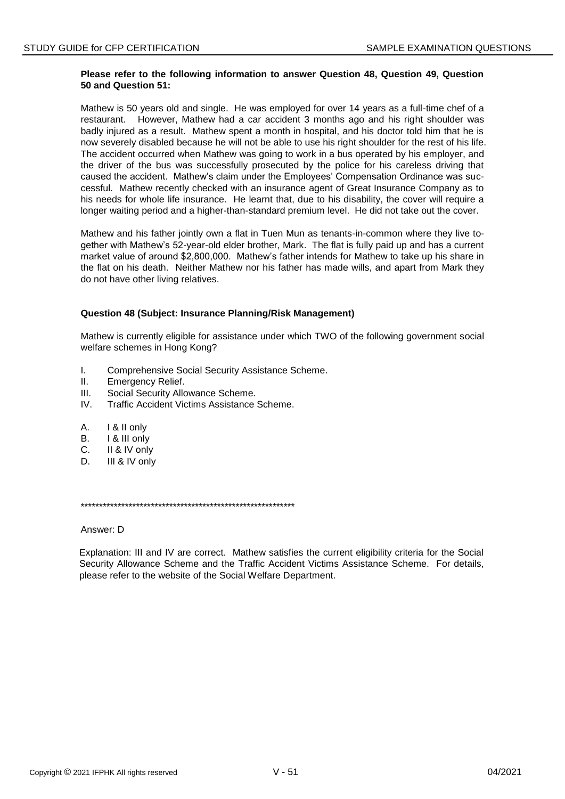### **Please refer to the following information to answer Question 48, Question 49, Question 50 and Question 51:**

Mathew is 50 years old and single. He was employed for over 14 years as a full-time chef of a restaurant. However, Mathew had a car accident 3 months ago and his right shoulder was badly injured as a result. Mathew spent a month in hospital, and his doctor told him that he is now severely disabled because he will not be able to use his right shoulder for the rest of his life. The accident occurred when Mathew was going to work in a bus operated by his employer, and the driver of the bus was successfully prosecuted by the police for his careless driving that caused the accident. Mathew's claim under the Employees' Compensation Ordinance was successful. Mathew recently checked with an insurance agent of Great Insurance Company as to his needs for whole life insurance. He learnt that, due to his disability, the cover will require a longer waiting period and a higher-than-standard premium level. He did not take out the cover.

Mathew and his father jointly own a flat in Tuen Mun as tenants-in-common where they live together with Mathew's 52-year-old elder brother, Mark. The flat is fully paid up and has a current market value of around \$2,800,000. Mathew's father intends for Mathew to take up his share in the flat on his death. Neither Mathew nor his father has made wills, and apart from Mark they do not have other living relatives.

### **Question 48 (Subject: Insurance Planning/Risk Management)**

Mathew is currently eligible for assistance under which TWO of the following government social welfare schemes in Hong Kong?

- I. Comprehensive Social Security Assistance Scheme.
- II. Emergency Relief.
- III. Social Security Allowance Scheme.
- IV. Traffic Accident Victims Assistance Scheme.
- A. I & II only
- B. I & III only
- C. II & IV only
- D. **III & IV only**

\*\*\*\*\*\*\*\*\*\*\*\*\*\*\*\*\*\*\*\*\*\*\*\*\*\*\*\*\*\*\*\*\*\*\*\*\*\*\*\*\*\*\*\*\*\*\*\*\*\*\*\*\*\*\*\*\*\*

Answer: D

Explanation: III and IV are correct. Mathew satisfies the current eligibility criteria for the Social Security Allowance Scheme and the Traffic Accident Victims Assistance Scheme. For details, please refer to the website of the Social Welfare Department.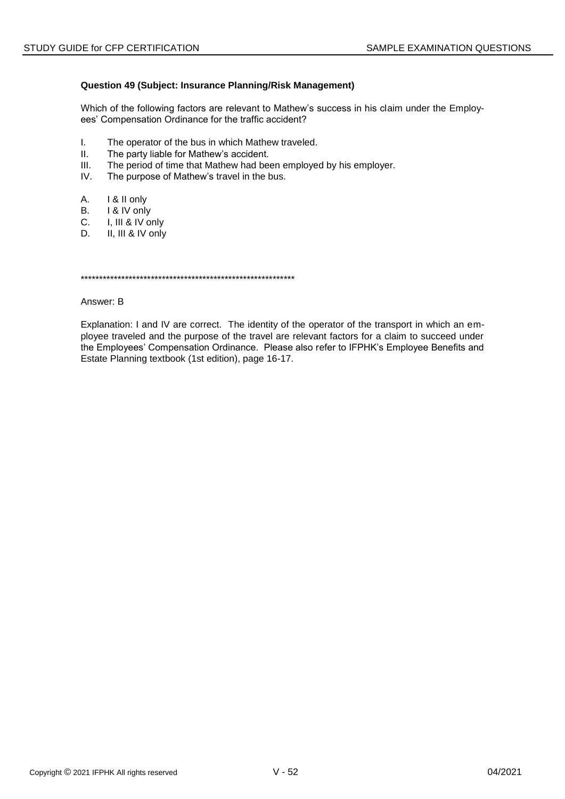## Question 49 (Subject: Insurance Planning/Risk Management)

Which of the following factors are relevant to Mathew's success in his claim under the Employees' Compensation Ordinance for the traffic accident?

- $\mathbf{L}$ The operator of the bus in which Mathew traveled.
- $II.$ The party liable for Mathew's accident.
- $III.$ The period of time that Mathew had been employed by his employer.
- IV. The purpose of Mathew's travel in the bus.
- А. I & II only
- **B.** I & IV only
- $C_{1}$ I, III & IV only
- D. II, III & IV only

#### Answer: B

Explanation: I and IV are correct. The identity of the operator of the transport in which an employee traveled and the purpose of the travel are relevant factors for a claim to succeed under the Employees' Compensation Ordinance. Please also refer to IFPHK's Employee Benefits and Estate Planning textbook (1st edition), page 16-17.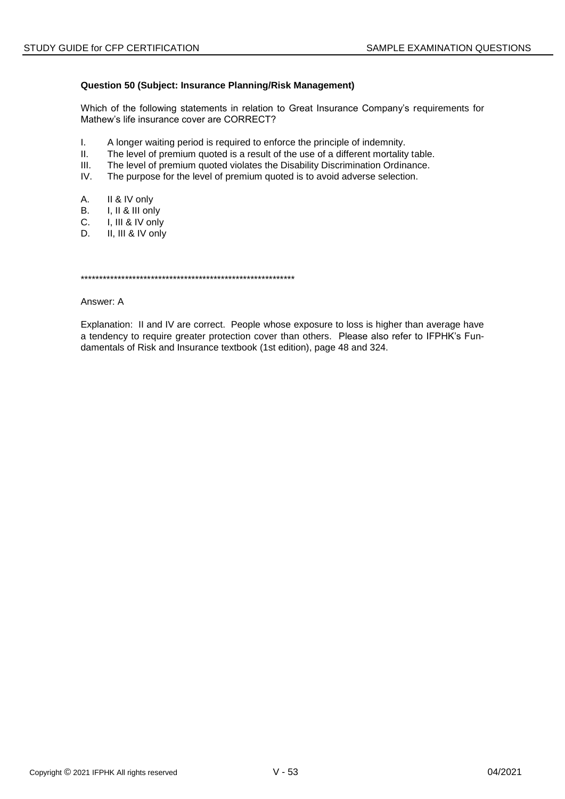## **Question 50 (Subject: Insurance Planning/Risk Management)**

Which of the following statements in relation to Great Insurance Company's requirements for Mathew's life insurance cover are CORRECT?

- I. A longer waiting period is required to enforce the principle of indemnity.
- II. The level of premium quoted is a result of the use of a different mortality table.
- III. The level of premium quoted violates the Disability Discrimination Ordinance.
- IV. The purpose for the level of premium quoted is to avoid adverse selection.
- A. II & IV only
- B. I, II & III only
- C. I, III & IV only
- D. II, III & IV only

\*\*\*\*\*\*\*\*\*\*\*\*\*\*\*\*\*\*\*\*\*\*\*\*\*\*\*\*\*\*\*\*\*\*\*\*\*\*\*\*\*\*\*\*\*\*\*\*\*\*\*\*\*\*\*\*\*\*

Answer: A

Explanation: II and IV are correct. People whose exposure to loss is higher than average have a tendency to require greater protection cover than others. Please also refer to IFPHK's Fundamentals of Risk and Insurance textbook (1st edition), page 48 and 324.